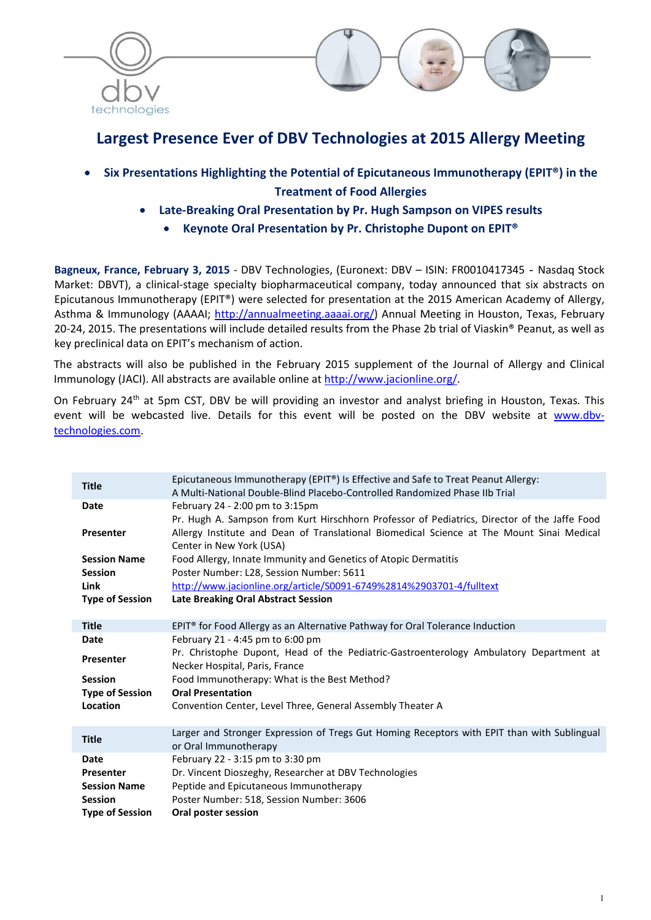



# Largest Presence Ever of DBV Technologies at 2015 Allergy Meeting

- Six Presentations Highlighting the Potential of Epicutaneous Immunotherapy (EPIT®) in the Treatment of Food Allergies
	- Late-Breaking Oral Presentation by Pr. Hugh Sampson on VIPES results
		- Keynote Oral Presentation by Pr. Christophe Dupont on EPIT<sup>®</sup>

Bagneux, France, February 3, 2015 - DBV Technologies, (Euronext: DBV – ISIN: FR0010417345 - Nasdaq Stock Market: DBVT), a clinical-stage specialty biopharmaceutical company, today announced that six abstracts on Epicutanous Immunotherapy (EPIT®) were selected for presentation at the 2015 American Academy of Allergy, Asthma & Immunology (AAAAI; http://annualmeeting.aaaai.org/) Annual Meeting in Houston, Texas, February 20-24, 2015. The presentations will include detailed results from the Phase 2b trial of Viaskin® Peanut, as well as key preclinical data on EPIT's mechanism of action.

The abstracts will also be published in the February 2015 supplement of the Journal of Allergy and Clinical Immunology (JACI). All abstracts are available online at http://www.jacionline.org/.

On February 24<sup>th</sup> at 5pm CST, DBV be will providing an investor and analyst briefing in Houston, Texas. This event will be webcasted live. Details for this event will be posted on the DBV website at www.dbvtechnologies.com.

| <b>Title</b>           | Epicutaneous Immunotherapy (EPIT®) Is Effective and Safe to Treat Peanut Allergy:<br>A Multi-National Double-Blind Placebo-Controlled Randomized Phase IIb Trial |
|------------------------|------------------------------------------------------------------------------------------------------------------------------------------------------------------|
| Date                   | February 24 - 2:00 pm to 3:15pm                                                                                                                                  |
|                        | Pr. Hugh A. Sampson from Kurt Hirschhorn Professor of Pediatrics, Director of the Jaffe Food                                                                     |
|                        |                                                                                                                                                                  |
| <b>Presenter</b>       | Allergy Institute and Dean of Translational Biomedical Science at The Mount Sinai Medical                                                                        |
|                        | Center in New York (USA)                                                                                                                                         |
| <b>Session Name</b>    | Food Allergy, Innate Immunity and Genetics of Atopic Dermatitis                                                                                                  |
| <b>Session</b>         | Poster Number: L28, Session Number: 5611                                                                                                                         |
| Link                   | http://www.jacionline.org/article/S0091-6749%2814%2903701-4/fulltext                                                                                             |
|                        |                                                                                                                                                                  |
| <b>Type of Session</b> | Late Breaking Oral Abstract Session                                                                                                                              |
|                        |                                                                                                                                                                  |
| <b>Title</b>           | EPIT <sup>®</sup> for Food Allergy as an Alternative Pathway for Oral Tolerance Induction                                                                        |
| <b>Date</b>            | February 21 - 4:45 pm to 6:00 pm                                                                                                                                 |
|                        | Pr. Christophe Dupont, Head of the Pediatric-Gastroenterology Ambulatory Department at                                                                           |
| Presenter              | Necker Hospital, Paris, France                                                                                                                                   |
|                        |                                                                                                                                                                  |
| <b>Session</b>         | Food Immunotherapy: What is the Best Method?                                                                                                                     |
| <b>Type of Session</b> | <b>Oral Presentation</b>                                                                                                                                         |
| Location               | Convention Center, Level Three, General Assembly Theater A                                                                                                       |
|                        |                                                                                                                                                                  |
|                        | Larger and Stronger Expression of Tregs Gut Homing Receptors with EPIT than with Sublingual                                                                      |
| <b>Title</b>           |                                                                                                                                                                  |
|                        | or Oral Immunotherapy                                                                                                                                            |
| <b>Date</b>            | February 22 - 3:15 pm to 3:30 pm                                                                                                                                 |
| <b>Presenter</b>       | Dr. Vincent Dioszeghy, Researcher at DBV Technologies                                                                                                            |
| <b>Session Name</b>    | Peptide and Epicutaneous Immunotherapy                                                                                                                           |
| <b>Session</b>         | Poster Number: 518, Session Number: 3606                                                                                                                         |
|                        | Oral poster session                                                                                                                                              |
| <b>Type of Session</b> |                                                                                                                                                                  |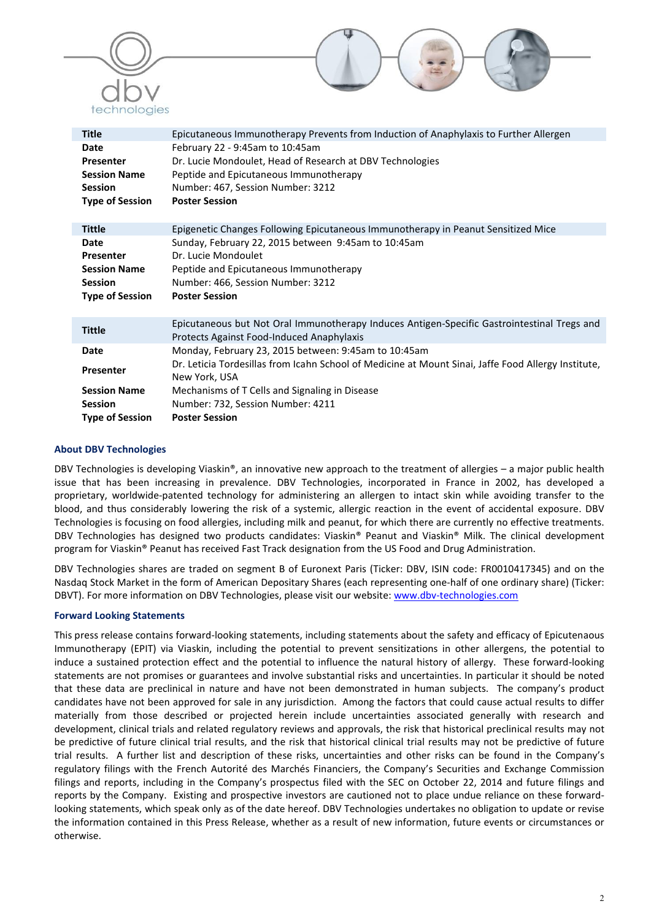



| <b>Title</b>           | Epicutaneous Immunotherapy Prevents from Induction of Anaphylaxis to Further Allergen                                                    |
|------------------------|------------------------------------------------------------------------------------------------------------------------------------------|
| Date<br>Presenter      | February 22 - 9:45am to 10:45am<br>Dr. Lucie Mondoulet, Head of Research at DBV Technologies                                             |
| <b>Session Name</b>    | Peptide and Epicutaneous Immunotherapy                                                                                                   |
| <b>Session</b>         | Number: 467, Session Number: 3212                                                                                                        |
| <b>Type of Session</b> | <b>Poster Session</b>                                                                                                                    |
| <b>Tittle</b>          | Epigenetic Changes Following Epicutaneous Immunotherapy in Peanut Sensitized Mice                                                        |
| Date                   | Sunday, February 22, 2015 between 9:45am to 10:45am                                                                                      |
| Presenter              | Dr. Lucie Mondoulet                                                                                                                      |
| <b>Session Name</b>    | Peptide and Epicutaneous Immunotherapy                                                                                                   |
| <b>Session</b>         | Number: 466, Session Number: 3212                                                                                                        |
| <b>Type of Session</b> | <b>Poster Session</b>                                                                                                                    |
| <b>Tittle</b>          | Epicutaneous but Not Oral Immunotherapy Induces Antigen-Specific Gastrointestinal Tregs and<br>Protects Against Food-Induced Anaphylaxis |
| Date                   | Monday, February 23, 2015 between: 9:45am to 10:45am                                                                                     |
| Presenter              | Dr. Leticia Tordesillas from Icahn School of Medicine at Mount Sinai, Jaffe Food Allergy Institute,<br>New York, USA                     |
| <b>Session Name</b>    | Mechanisms of T Cells and Signaling in Disease                                                                                           |
| <b>Session</b>         | Number: 732, Session Number: 4211                                                                                                        |
| <b>Type of Session</b> | <b>Poster Session</b>                                                                                                                    |

#### About DBV Technologies

DBV Technologies is developing Viaskin®, an innovative new approach to the treatment of allergies – a major public health issue that has been increasing in prevalence. DBV Technologies, incorporated in France in 2002, has developed a proprietary, worldwide-patented technology for administering an allergen to intact skin while avoiding transfer to the blood, and thus considerably lowering the risk of a systemic, allergic reaction in the event of accidental exposure. DBV Technologies is focusing on food allergies, including milk and peanut, for which there are currently no effective treatments. DBV Technologies has designed two products candidates: Viaskin® Peanut and Viaskin® Milk. The clinical development program for Viaskin® Peanut has received Fast Track designation from the US Food and Drug Administration.

DBV Technologies shares are traded on segment B of Euronext Paris (Ticker: DBV, ISIN code: FR0010417345) and on the Nasdaq Stock Market in the form of American Depositary Shares (each representing one-half of one ordinary share) (Ticker: DBVT). For more information on DBV Technologies, please visit our website: www.dbv-technologies.com

### Forward Looking Statements

This press release contains forward-looking statements, including statements about the safety and efficacy of Epicutenaous Immunotherapy (EPIT) via Viaskin, including the potential to prevent sensitizations in other allergens, the potential to induce a sustained protection effect and the potential to influence the natural history of allergy. These forward-looking statements are not promises or guarantees and involve substantial risks and uncertainties. In particular it should be noted that these data are preclinical in nature and have not been demonstrated in human subjects. The company's product candidates have not been approved for sale in any jurisdiction. Among the factors that could cause actual results to differ materially from those described or projected herein include uncertainties associated generally with research and development, clinical trials and related regulatory reviews and approvals, the risk that historical preclinical results may not be predictive of future clinical trial results, and the risk that historical clinical trial results may not be predictive of future trial results. A further list and description of these risks, uncertainties and other risks can be found in the Company's regulatory filings with the French Autorité des Marchés Financiers, the Company's Securities and Exchange Commission filings and reports, including in the Company's prospectus filed with the SEC on October 22, 2014 and future filings and reports by the Company. Existing and prospective investors are cautioned not to place undue reliance on these forwardlooking statements, which speak only as of the date hereof. DBV Technologies undertakes no obligation to update or revise the information contained in this Press Release, whether as a result of new information, future events or circumstances or otherwise.